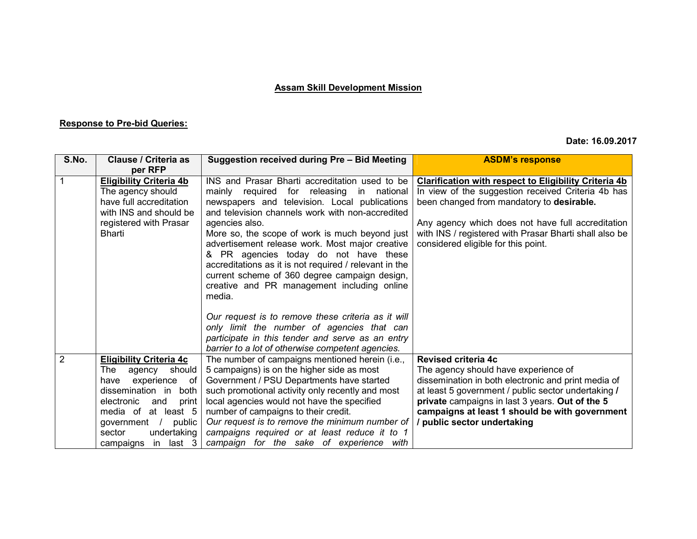## **Assam Skill Development Mission**

## **Response to Pre-bid Queries:**

## **Date: 16.09.2017**

| S.No. | Clause / Criteria as                              | Suggestion received during Pre - Bid Meeting                                                      | <b>ASDM's response</b>                                                                        |
|-------|---------------------------------------------------|---------------------------------------------------------------------------------------------------|-----------------------------------------------------------------------------------------------|
|       | per RFP                                           |                                                                                                   |                                                                                               |
|       | <b>Eligibility Criteria 4b</b>                    | INS and Prasar Bharti accreditation used to be                                                    | <b>Clarification with respect to Eligibility Criteria 4b</b>                                  |
|       | The agency should                                 | mainly required for releasing<br>in national                                                      | In view of the suggestion received Criteria 4b has                                            |
|       | have full accreditation<br>with INS and should be | newspapers and television. Local publications<br>and television channels work with non-accredited | been changed from mandatory to desirable.                                                     |
|       | registered with Prasar                            | agencies also.                                                                                    | Any agency which does not have full accreditation                                             |
|       | <b>Bharti</b>                                     | More so, the scope of work is much beyond just<br>advertisement release work. Most major creative | with INS / registered with Prasar Bharti shall also be<br>considered eligible for this point. |
|       |                                                   | & PR agencies today do not have these                                                             |                                                                                               |
|       |                                                   | accreditations as it is not required / relevant in the                                            |                                                                                               |
|       |                                                   | current scheme of 360 degree campaign design,                                                     |                                                                                               |
|       |                                                   | creative and PR management including online                                                       |                                                                                               |
|       |                                                   | media.                                                                                            |                                                                                               |
|       |                                                   |                                                                                                   |                                                                                               |
|       |                                                   | Our request is to remove these criteria as it will                                                |                                                                                               |
|       |                                                   | only limit the number of agencies that can                                                        |                                                                                               |
|       |                                                   | participate in this tender and serve as an entry                                                  |                                                                                               |
|       |                                                   | barrier to a lot of otherwise competent agencies.                                                 |                                                                                               |
| 2     | <b>Eligibility Criteria 4c</b>                    | The number of campaigns mentioned herein (i.e.,                                                   | <b>Revised criteria 4c</b>                                                                    |
|       | should<br>The<br>agency                           | 5 campaigns) is on the higher side as most                                                        | The agency should have experience of                                                          |
|       | experience<br>of<br>have                          | Government / PSU Departments have started                                                         | dissemination in both electronic and print media of                                           |
|       | dissemination in<br>both                          | such promotional activity only recently and most                                                  | at least 5 government / public sector undertaking /                                           |
|       | electronic<br>print<br>and                        | local agencies would not have the specified                                                       | private campaigns in last 3 years. Out of the 5                                               |
|       | media of at least 5                               | number of campaigns to their credit.                                                              | campaigns at least 1 should be with government                                                |
|       | public<br>government /                            | Our request is to remove the minimum number of                                                    | / public sector undertaking                                                                   |
|       | undertaking<br>sector                             | campaigns required or at least reduce it to 1                                                     |                                                                                               |
|       | in last 3<br>campaigns                            | campaign for the sake of experience with                                                          |                                                                                               |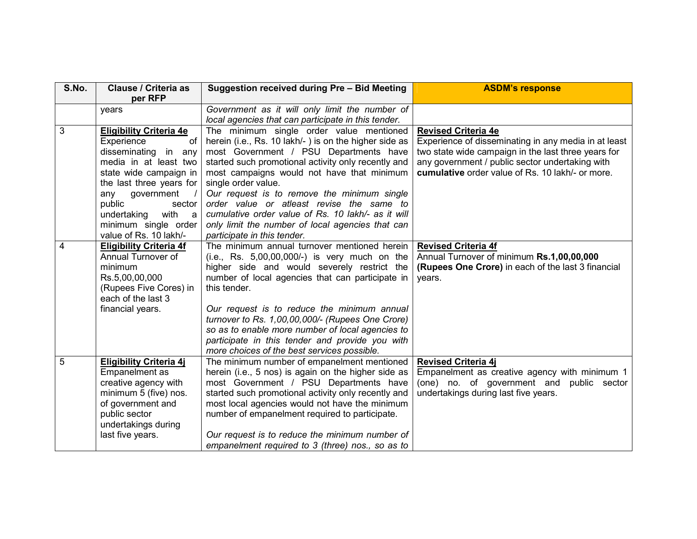| S.No. | <b>Clause / Criteria as</b><br>per RFP       | Suggestion received during Pre - Bid Meeting          | <b>ASDM's response</b>                               |
|-------|----------------------------------------------|-------------------------------------------------------|------------------------------------------------------|
|       | years                                        | Government as it will only limit the number of        |                                                      |
|       |                                              | local agencies that can participate in this tender.   |                                                      |
| 3     | <b>Eligibility Criteria 4e</b>               | The minimum single order value mentioned              | <b>Revised Criteria 4e</b>                           |
|       | of<br>Experience                             | herein (i.e., Rs. 10 lakh/-) is on the higher side as | Experience of disseminating in any media in at least |
|       | disseminating in any                         | most Government / PSU Departments have                | two state wide campaign in the last three years for  |
|       | media in at least two                        | started such promotional activity only recently and   | any government / public sector undertaking with      |
|       | state wide campaign in                       | most campaigns would not have that minimum            | cumulative order value of Rs. 10 lakh/- or more.     |
|       | the last three years for                     | single order value.                                   |                                                      |
|       | any government<br>$\sqrt{ }$                 | Our request is to remove the minimum single           |                                                      |
|       | public<br>sector                             | order value or atleast revise the same to             |                                                      |
|       | with<br>undertaking<br>a a                   | cumulative order value of Rs. 10 lakh/- as it will    |                                                      |
|       | minimum single order                         | only limit the number of local agencies that can      |                                                      |
|       | value of Rs. 10 lakh/-                       | participate in this tender.                           |                                                      |
| 4     | <b>Eligibility Criteria 4f</b>               | The minimum annual turnover mentioned herein          | <b>Revised Criteria 4f</b>                           |
|       | Annual Turnover of                           | $(i.e., Rs. 5,00,00,000/-)$ is very much on the       | Annual Turnover of minimum Rs.1,00,00,000            |
|       | minimum                                      | higher side and would severely restrict the           | (Rupees One Crore) in each of the last 3 financial   |
|       | Rs.5,00,00,000                               | number of local agencies that can participate in      | years.                                               |
|       | (Rupees Five Cores) in<br>each of the last 3 | this tender.                                          |                                                      |
|       | financial years.                             | Our request is to reduce the minimum annual           |                                                      |
|       |                                              | turnover to Rs. 1,00,00,000/- (Rupees One Crore)      |                                                      |
|       |                                              | so as to enable more number of local agencies to      |                                                      |
|       |                                              | participate in this tender and provide you with       |                                                      |
|       |                                              | more choices of the best services possible.           |                                                      |
| 5     | <b>Eligibility Criteria 4j</b>               | The minimum number of empanelment mentioned           | <b>Revised Criteria 4j</b>                           |
|       | Empanelment as                               | herein (i.e., 5 nos) is again on the higher side as   | Empanelment as creative agency with minimum 1        |
|       | creative agency with                         | most Government / PSU Departments have                | (one) no. of government and public sector            |
|       | minimum 5 (five) nos.                        | started such promotional activity only recently and   | undertakings during last five years.                 |
|       | of government and                            | most local agencies would not have the minimum        |                                                      |
|       | public sector                                | number of empanelment required to participate.        |                                                      |
|       | undertakings during                          |                                                       |                                                      |
|       | last five years.                             | Our request is to reduce the minimum number of        |                                                      |
|       |                                              | empanelment required to 3 (three) nos., so as to      |                                                      |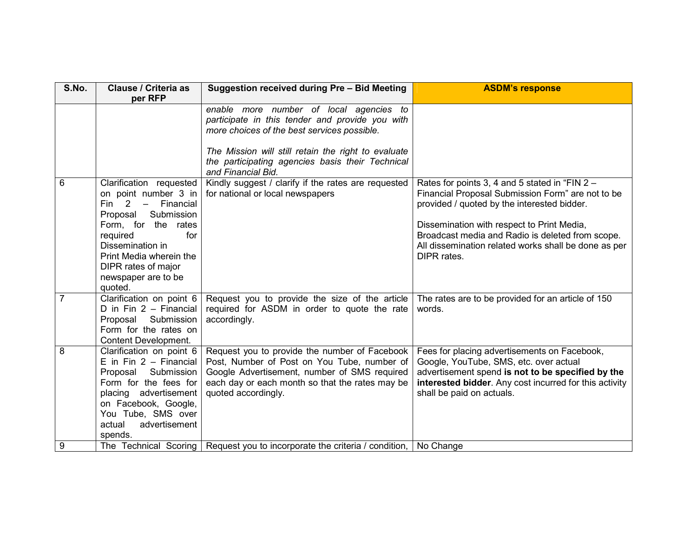| S.No.          | <b>Clause / Criteria as</b><br>per RFP                                                                                                                                                                                                                          | Suggestion received during Pre - Bid Meeting                                                                                                                                                                                                                               | <b>ASDM's response</b>                                                                                                                                                                                                                                                                                                      |
|----------------|-----------------------------------------------------------------------------------------------------------------------------------------------------------------------------------------------------------------------------------------------------------------|----------------------------------------------------------------------------------------------------------------------------------------------------------------------------------------------------------------------------------------------------------------------------|-----------------------------------------------------------------------------------------------------------------------------------------------------------------------------------------------------------------------------------------------------------------------------------------------------------------------------|
|                |                                                                                                                                                                                                                                                                 | enable more number of local agencies to<br>participate in this tender and provide you with<br>more choices of the best services possible.<br>The Mission will still retain the right to evaluate<br>the participating agencies basis their Technical<br>and Financial Bid. |                                                                                                                                                                                                                                                                                                                             |
| 6              | Clarification requested<br>on point number 3 in<br>$Fin$ 2<br>Financial<br>$\equiv$<br>Proposal<br>Submission<br>Form, for the rates<br>required<br>for<br>Dissemination in<br>Print Media wherein the<br>DIPR rates of major<br>newspaper are to be<br>quoted. | Kindly suggest / clarify if the rates are requested<br>for national or local newspapers                                                                                                                                                                                    | Rates for points 3, 4 and 5 stated in "FIN 2 -<br>Financial Proposal Submission Form" are not to be<br>provided / quoted by the interested bidder.<br>Dissemination with respect to Print Media,<br>Broadcast media and Radio is deleted from scope.<br>All dissemination related works shall be done as per<br>DIPR rates. |
| $\overline{7}$ | Clarification on point 6<br>D in $Fin 2 - Financial$<br>Proposal<br>Submission<br>Form for the rates on<br><b>Content Development.</b>                                                                                                                          | Request you to provide the size of the article<br>required for ASDM in order to quote the rate<br>accordingly.                                                                                                                                                             | The rates are to be provided for an article of 150<br>words.                                                                                                                                                                                                                                                                |
| 8              | Clarification on point 6<br>E in Fin $2 -$ Financial<br>Submission<br>Proposal<br>Form for the fees for<br>placing advertisement<br>on Facebook, Google,<br>You Tube, SMS over<br>advertisement<br>actual<br>spends.                                            | Request you to provide the number of Facebook<br>Post, Number of Post on You Tube, number of<br>Google Advertisement, number of SMS required<br>each day or each month so that the rates may be<br>quoted accordingly.                                                     | Fees for placing advertisements on Facebook,<br>Google, YouTube, SMS, etc. over actual<br>advertisement spend is not to be specified by the<br>interested bidder. Any cost incurred for this activity<br>shall be paid on actuals.                                                                                          |
| 9              | The Technical Scoring                                                                                                                                                                                                                                           | Request you to incorporate the criteria / condition,                                                                                                                                                                                                                       | No Change                                                                                                                                                                                                                                                                                                                   |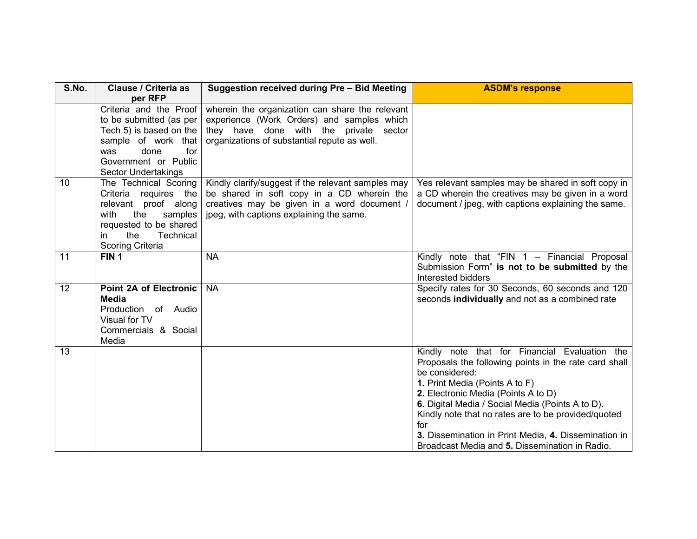| S.No.           | <b>Clause / Criteria as</b><br>per RFP                                                                                                                                   | Suggestion received during Pre - Bid Meeting                                                                                                                                                | <b>ASDM's response</b>                                                                                                                                                                                                                                                                                                                                                                                                        |
|-----------------|--------------------------------------------------------------------------------------------------------------------------------------------------------------------------|---------------------------------------------------------------------------------------------------------------------------------------------------------------------------------------------|-------------------------------------------------------------------------------------------------------------------------------------------------------------------------------------------------------------------------------------------------------------------------------------------------------------------------------------------------------------------------------------------------------------------------------|
|                 | Criteria and the Proof<br>to be submitted (as per<br>Tech 5) is based on the<br>sample of work that                                                                      | wherein the organization can share the relevant<br>experience (Work Orders) and samples which<br>they have done with the private<br>sector<br>organizations of substantial repute as well.  |                                                                                                                                                                                                                                                                                                                                                                                                                               |
|                 | done<br>for<br>was<br>Government or Public<br>Sector Undertakings                                                                                                        |                                                                                                                                                                                             |                                                                                                                                                                                                                                                                                                                                                                                                                               |
| 10 <sup>°</sup> | The Technical Scoring<br>Criteria requires the<br>relevant proof along<br>with<br>the<br>samples<br>requested to be shared<br>the<br>Technical<br>in<br>Scoring Criteria | Kindly clarify/suggest if the relevant samples may<br>be shared in soft copy in a CD wherein the<br>creatives may be given in a word document /<br>jpeg, with captions explaining the same. | Yes relevant samples may be shared in soft copy in<br>a CD wherein the creatives may be given in a word<br>document / jpeg, with captions explaining the same.                                                                                                                                                                                                                                                                |
| 11              | FIN <sub>1</sub>                                                                                                                                                         | <b>NA</b>                                                                                                                                                                                   | Kindly note that "FIN 1 - Financial Proposal<br>Submission Form" is not to be submitted by the<br>Interested bidders                                                                                                                                                                                                                                                                                                          |
| 12 <sup>°</sup> | <b>Point 2A of Electronic</b><br>Media<br>Production of Audio<br>Visual for TV<br>Commercials & Social<br>Media                                                          | <b>NA</b>                                                                                                                                                                                   | Specify rates for 30 Seconds, 60 seconds and 120<br>seconds individually and not as a combined rate                                                                                                                                                                                                                                                                                                                           |
| 13              |                                                                                                                                                                          |                                                                                                                                                                                             | Kindly note that for Financial Evaluation the<br>Proposals the following points in the rate card shall<br>be considered:<br>1. Print Media (Points A to F)<br>2. Electronic Media (Points A to D)<br>6. Digital Media / Social Media (Points A to D).<br>Kindly note that no rates are to be provided/quoted<br>for<br>3. Dissemination in Print Media, 4. Dissemination in<br>Broadcast Media and 5. Dissemination in Radio. |